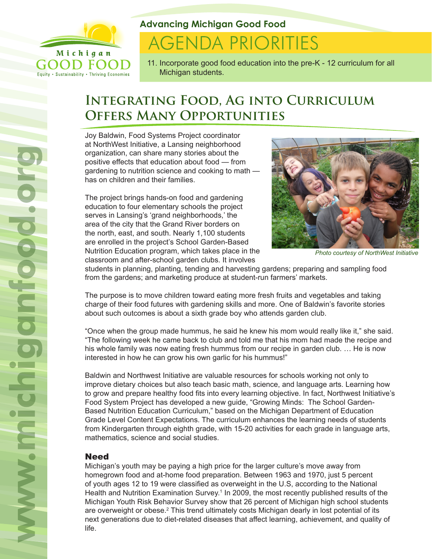

**Advancing Michigan Good Food**

# **AGENDA PRIORITIES**

11. Incorporate good food education into the pre-K - 12 curriculum for all Michigan students.

# **Integrating Food, Ag into Curriculum Offers Many Opportunities**

Joy Baldwin, Food Systems Project coordinator at NorthWest Initiative, a Lansing neighborhood organization, can share many stories about the positive effects that education about food — from gardening to nutrition science and cooking to math has on children and their families.

The project brings hands-on food and gardening education to four elementary schools the project serves in Lansing's 'grand neighborhoods,' the area of the city that the Grand River borders on the north, east, and south. Nearly 1,100 students are enrolled in the project's School Garden-Based Nutrition Education program, which takes place in the classroom and after-school garden clubs. It involves



*Photo courtesy of NorthWest Initiative*

students in planning, planting, tending and harvesting gardens; preparing and sampling food from the gardens; and marketing produce at student-run farmers' markets.

The purpose is to move children toward eating more fresh fruits and vegetables and taking charge of their food futures with gardening skills and more. One of Baldwin's favorite stories about such outcomes is about a sixth grade boy who attends garden club.

"Once when the group made hummus, he said he knew his mom would really like it," she said. "The following week he came back to club and told me that his mom had made the recipe and his whole family was now eating fresh hummus from our recipe in garden club. … He is now interested in how he can grow his own garlic for his hummus!"

Baldwin and Northwest Initiative are valuable resources for schools working not only to improve dietary choices but also teach basic math, science, and language arts. Learning how to grow and prepare healthy food fits into every learning objective. In fact, Northwest Initiative's Food System Project has developed a new guide, "Growing Minds: The School Garden-Based Nutrition Education Curriculum," based on the Michigan Department of Education Grade Level Content Expectations. The curriculum enhances the learning needs of students from Kindergarten through eighth grade, with 15-20 activities for each grade in language arts, mathematics, science and social studies.

# Need

Michigan's youth may be paying a high price for the larger culture's move away from homegrown food and at-home food preparation. Between 1963 and 1970, just 5 percent of youth ages 12 to 19 were classified as overweight in the U.S, according to the National Health and Nutrition Examination Survey.<sup>1</sup> In 2009, the most recently published results of the Michigan Youth Risk Behavior Survey show that 26 percent of Michigan high school students are overweight or obese. $^2$  This trend ultimately costs Michigan dearly in lost potential of its next generations due to diet-related diseases that affect learning, achievement, and quality of life.